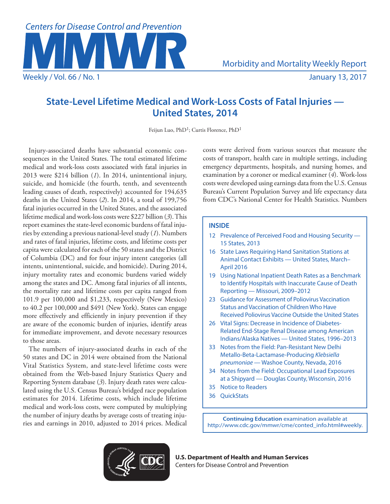

# **State-Level Lifetime Medical and Work-Loss Costs of Fatal Injuries — United States, 2014**

Feijun Luo, PhD<sup>1</sup>; Curtis Florence, PhD<sup>1</sup>

Injury-associated deaths have substantial economic consequences in the United States. The total estimated lifetime medical and work-loss costs associated with fatal injuries in 2013 were \$214 billion (*1*). In 2014, unintentional injury, suicide, and homicide (the fourth, tenth, and seventeenth leading causes of death, respectively) accounted for 194,635 deaths in the United States (*2*). In 2014, a total of 199,756 fatal injuries occurred in the United States, and the associated lifetime medical and work-loss costs were \$227 billion (*3*). This report examines the state-level economic burdens of fatal injuries by extending a previous national-level study (*1*). Numbers and rates of fatal injuries, lifetime costs, and lifetime costs per capita were calculated for each of the 50 states and the District of Columbia (DC) and for four injury intent categories (all intents, unintentional, suicide, and homicide). During 2014, injury mortality rates and economic burdens varied widely among the states and DC. Among fatal injuries of all intents, the mortality rate and lifetime costs per capita ranged from 101.9 per 100,000 and \$1,233, respectively (New Mexico) to 40.2 per 100,000 and \$491 (New York). States can engage more effectively and efficiently in injury prevention if they are aware of the economic burden of injuries, identify areas for immediate improvement, and devote necessary resources to those areas.

The numbers of injury-associated deaths in each of the 50 states and DC in 2014 were obtained from the National Vital Statistics System, and state-level lifetime costs were obtained from the Web-based Injury Statistics Query and Reporting System database (*3*). Injury death rates were calculated using the U.S. Census Bureau's bridged race population estimates for 2014. Lifetime costs, which include lifetime medical and work-loss costs, were computed by multiplying the number of injury deaths by average costs of treating injuries and earnings in 2010, adjusted to 2014 prices. Medical

costs were derived from various sources that measure the costs of transport, health care in multiple settings, including emergency departments, hospitals, and nursing homes, and examination by a coroner or medical examiner (*4*). Work-loss costs were developed using earnings data from the U.S. Census Bureau's Current Population Survey and life expectancy data from CDC's National Center for Health Statistics. Numbers

# **INSIDE**

- 12 Prevalence of Perceived Food and Housing Security 15 States, 2013
- 16 State Laws Requiring Hand Sanitation Stations at Animal Contact Exhibits — United States, March– April 2016
- 19 Using National Inpatient Death Rates as a Benchmark to Identify Hospitals with Inaccurate Cause of Death Reporting — Missouri, 2009–2012
- 23 Guidance for Assessment of Poliovirus Vaccination Status and Vaccination of Children Who Have Received Poliovirus Vaccine Outside the United States
- 26 Vital Signs: Decrease in Incidence of Diabetes-Related End-Stage Renal Disease among American Indians/Alaska Natives — United States, 1996–2013
- 33 Notes from the Field: Pan-Resistant New Delhi Metallo-Beta-Lactamase-Producing *Klebsiella pneumoniae* — Washoe County, Nevada, 2016
- 34 Notes from the Field: Occupational Lead Exposures at a Shipyard — Douglas County, Wisconsin, 2016
- 35 Notice to Readers
- 36 QuickStats

**Continuing Education** examination available at [http://www.cdc.gov/mmwr/cme/conted\\_info.html#weekly.](http://www.cdc.gov/mmwr/cme/conted_info.html#weekly)



**U.S. Department of Health and Human Services** Centers for Disease Control and Prevention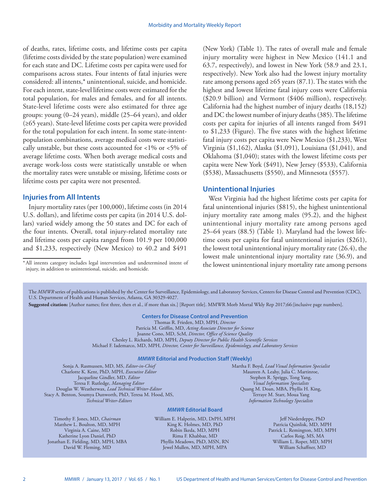of deaths, rates, lifetime costs, and lifetime costs per capita (lifetime costs divided by the state population) were examined for each state and DC. Lifetime costs per capita were used for comparisons across states. Four intents of fatal injuries were considered: all intents,\* unintentional, suicide, and homicide. For each intent, state-level lifetime costs were estimated for the total population, for males and females, and for all intents. State-level lifetime costs were also estimated for three age groups: young (0–24 years), middle (25–64 years), and older (≥65 years). State-level lifetime costs per capita were provided for the total population for each intent. In some state-intentpopulation combinations, average medical costs were statistically unstable, but these costs accounted for  $<1\%$  or  $<5\%$  of average lifetime costs. When both average medical costs and average work-loss costs were statistically unstable or when the mortality rates were unstable or missing, lifetime costs or lifetime costs per capita were not presented.

# **Injuries from All Intents**

Injury mortality rates (per 100,000), lifetime costs (in 2014 U.S. dollars), and lifetime costs per capita (in 2014 U.S. dollars) varied widely among the 50 states and DC for each of the four intents. Overall, total injury-related mortality rate and lifetime costs per capita ranged from 101.9 per 100,000 and \$1,233, respectively (New Mexico) to 40.2 and \$491

injury, in addition to unintentional, suicide, and homicide.

(New York) (Table 1). The rates of overall male and female injury mortality were highest in New Mexico (141.1 and 63.7, respectively), and lowest in New York (58.9 and 23.1, respectively). New York also had the lowest injury mortality rate among persons aged  $\geq 65$  years (87.1). The states with the highest and lowest lifetime fatal injury costs were California (\$20.9 billion) and Vermont (\$406 million), respectively. California had the highest number of injury deaths (18,152) and DC the lowest number of injury deaths (385). The lifetime costs per capita for injuries of all intents ranged from \$491 to \$1,233 (Figure). The five states with the highest lifetime fatal injury costs per capita were New Mexico (\$1,233), West Virginia (\$1,162), Alaska (\$1,091), Louisiana (\$1,041), and Oklahoma (\$1,040); states with the lowest lifetime costs per capita were New York (\$491), New Jersey (\$533), California (\$538), Massachusetts (\$550), and Minnesota (\$557).

#### **Unintentional Injuries**

West Virginia had the highest lifetime costs per capita for fatal unintentional injuries (\$815), the highest unintentional injury mortality rate among males (95.2), and the highest unintentional injury mortality rate among persons aged 25–64 years (88.5) (Table 1). Maryland had the lowest lifetime costs per capita for fatal unintentional injuries (\$261), the lowest total unintentional injury mortality rate (26.4), the lowest male unintentional injury mortality rate (36.9), and \*All intents category includes legal intervention and undetermined intent of the lowest unintentional injury mortality rate among persons

The *MMWR* series of publications is published by the Center for Surveillance, Epidemiology, and Laboratory Services, Centers for Disease Control and Prevention (CDC), U.S. Department of Health and Human Services, Atlanta, GA 30329-4027.

**Suggested citation:** [Author names; first three, then et al., if more than six.] [Report title]. MMWR Morb Mortal Wkly Rep 2017;66:[inclusive page numbers].

### **Centers for Disease Control and Prevention**

Thomas R. Frieden, MD, MPH, *Director* Patricia M. Griffin, MD, *Acting Associate Director for Science* Joanne Cono, MD, ScM, *Director, Office of Science Quality*  Chesley L. Richards, MD, MPH, *Deputy Director for Public Health Scientific Services* Michael F. Iademarco, MD, MPH, *Director, Center for Surveillance, Epidemiology, and Laboratory Services*

#### *MMWR* **Editorial and Production Staff (Weekly)**

Sonja A. Rasmussen, MD, MS, *Editor-in-Chief* Charlotte K. Kent, PhD, MPH, *Executive Editor* Jacqueline Gindler, MD, *Editor* Teresa F. Rutledge, *Managing Editor* Douglas W. Weatherwax, *Lead Technical Writer-Editor* Stacy A. Benton, Soumya Dunworth, PhD, Teresa M. Hood, MS, *Technical Writer-Editors*

Martha F. Boyd, *Lead Visual Information Specialist* Maureen A. Leahy, Julia C. Martinroe, Stephen R. Spriggs, Tong Yang, *Visual Information Specialists* Quang M. Doan, MBA, Phyllis H. King, Terraye M. Starr, Moua Yang *Information Technology Specialists*

#### *MMWR* **Editorial Board**

Timothy F. Jones, MD, *Chairman* Matthew L. Boulton, MD, MPH Virginia A. Caine, MD Katherine Lyon Daniel, PhD Jonathan E. Fielding, MD, MPH, MBA David W. Fleming, MD

William E. Halperin, MD, DrPH, MPH King K. Holmes, MD, PhD Robin Ikeda, MD, MPH Rima F. Khabbaz, MD Phyllis Meadows, PhD, MSN, RN Jewel Mullen, MD, MPH, MPA

Jeff Niederdeppe, PhD Patricia Quinlisk, MD, MPH Patrick L. Remington, MD, MPH Carlos Roig, MS, MA William L. Roper, MD, MPH William Schaffner, MD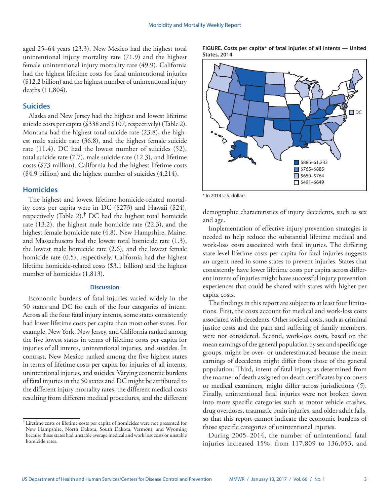aged 25–64 years (23.3). New Mexico had the highest total unintentional injury mortality rate (71.9) and the highest female unintentional injury mortality rate (49.9). California had the highest lifetime costs for fatal unintentional injuries (\$12.2 billion) and the highest number of unintentional injury deaths (11,804).

# **Suicides**

Alaska and New Jersey had the highest and lowest lifetime suicide costs per capita (\$338 and \$107, respectively) (Table 2). Montana had the highest total suicide rate (23.8), the highest male suicide rate (36.8), and the highest female suicide rate (11.4). DC had the lowest number of suicides (52), total suicide rate (7.7), male suicide rate (12.3), and lifetime costs (\$73 million). California had the highest lifetime costs (\$4.9 billion) and the highest number of suicides (4,214).

#### **Homicides**

The highest and lowest lifetime homicide-related mortality costs per capita were in DC (\$273) and Hawaii (\$24), respectively (Table 2).† DC had the highest total homicide rate (13.2), the highest male homicide rate (22.3), and the highest female homicide rate (4.8). New Hampshire, Maine, and Massachusetts had the lowest total homicide rate (1.3), the lowest male homicide rate (2.6), and the lowest female homicide rate (0.5), respectively. California had the highest lifetime homicide-related costs (\$3.1 billion) and the highest number of homicides (1,813).

### **Discussion**

Economic burdens of fatal injuries varied widely in the 50 states and DC for each of the four categories of intent. Across all the four fatal injury intents, some states consistently had lower lifetime costs per capita than most other states. For example, New York, New Jersey, and California ranked among the five lowest states in terms of lifetime costs per capita for injuries of all intents, unintentional injuries, and suicides. In contrast, New Mexico ranked among the five highest states in terms of lifetime costs per capita for injuries of all intents, unintentional injuries, and suicides. Varying economic burdens of fatal injuries in the 50 states and DC might be attributed to the different injury mortality rates, the different medical costs resulting from different medical procedures, and the different

**FIGURE. Costs per capita\* of fatal injuries of all intents — United States, 2014**



\* In 2014 U.S. dollars.

demographic characteristics of injury decedents, such as sex and age.

Implementation of effective injury prevention strategies is needed to help reduce the substantial lifetime medical and work-loss costs associated with fatal injuries. The differing state-level lifetime costs per capita for fatal injuries suggests an urgent need in some states to prevent injuries. States that consistently have lower lifetime costs per capita across different intents of injuries might have successful injury prevention experiences that could be shared with states with higher per capita costs.

The findings in this report are subject to at least four limitations. First, the costs account for medical and work-loss costs associated with decedents. Other societal costs, such as criminal justice costs and the pain and suffering of family members, were not considered. Second, work-loss costs, based on the mean earnings of the general population by sex and specific age groups, might be over- or underestimated because the mean earnings of decedents might differ from those of the general population. Third, intent of fatal injury, as determined from the manner of death assigned on death certificates by coroners or medical examiners, might differ across jurisdictions (*5*). Finally, unintentional fatal injuries were not broken down into more specific categories such as motor vehicle crashes, drug overdoses, traumatic brain injuries, and older adult falls, so that this report cannot indicate the economic burdens of those specific categories of unintentional injuries.

During 2005–2014, the number of unintentional fatal injuries increased 15%, from 117,809 to 136,053, and

<sup>†</sup> Lifetime costs or lifetime costs per capita of homicides were not presented for New Hampshire, North Dakota, South Dakota, Vermont, and Wyoming because those states had unstable average medical and work loss costs or unstable homicide rates.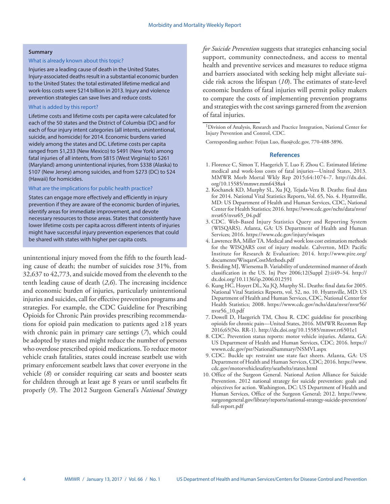#### **Summary**

#### What is already known about this topic?

Injuries are a leading cause of death in the United States. Injury-associated deaths result in a substantial economic burden to the United States: the total estimated lifetime medical and work-loss costs were \$214 billion in 2013. Injury and violence prevention strategies can save lives and reduce costs.

#### What is added by this report?

Lifetime costs and lifetime costs per capita were calculated for each of the 50 states and the District of Columbia (DC) and for each of four injury intent categories (all intents, unintentional, suicide, and homicide) for 2014. Economic burdens varied widely among the states and DC. Lifetime costs per capita ranged from \$1,233 (New Mexico) to \$491 (New York) among fatal injuries of all intents, from \$815 (West Virginia) to \$261 (Maryland) among unintentional injuries, from \$338 (Alaska) to \$107 (New Jersey) among suicides, and from \$273 (DC) to \$24 (Hawaii) for homicides.

#### What are the implications for public health practice?

States can engage more effectively and efficiently in injury prevention if they are aware of the economic burden of injuries, identify areas for immediate improvement, and devote necessary resources to those areas. States that consistently have lower lifetime costs per capita across different intents of injuries might have successful injury prevention experiences that could be shared with states with higher per capita costs.

unintentional injury moved from the fifth to the fourth leading cause of death; the number of suicides rose 31%, from 32,637 to 42,773, and suicide moved from the eleventh to the tenth leading cause of death (*2*,*6*). The increasing incidence and economic burden of injuries, particularly unintentional injuries and suicides, call for effective prevention programs and strategies. For example, the CDC Guideline for Prescribing Opioids for Chronic Pain provides prescribing recommendations for opioid pain medication to patients aged ≥18 years with chronic pain in primary care settings (*7*), which could be adopted by states and might reduce the number of persons who overdose prescribed opioid medications. To reduce motor vehicle crash fatalities, states could increase seatbelt use with primary enforcement seatbelt laws that cover everyone in the vehicle (*8*) or consider requiring car seats and booster seats for children through at least age 8 years or until seatbelts fit properly (*9*). The 2012 Surgeon General's *National Strategy* 

*for Suicide Prevention* suggests that strategies enhancing social support, community connectedness, and access to mental health and preventive services and measures to reduce stigma and barriers associated with seeking help might alleviate suicide risk across the lifespan (*10*). The estimates of state-level economic burdens of fatal injuries will permit policy makers to compare the costs of implementing prevention programs and strategies with the cost savings garnered from the aversion of fatal injuries.

Corresponding author: Feijun Luo, [fluo@cdc.gov](mailto:fluo@cdc.gov), 770-488-3896.

#### **References**

- 1. Florence C, Simon T, Haegerich T, Luo F, Zhou C. Estimated lifetime medical and work-loss costs of fatal injuries—United States, 2013. MMWR Morb Mortal Wkly Rep 2015;64:1074–7. [http://dx.doi.](http://dx.doi.org/10.15585/mmwr.mm6438a4) [org/10.15585/mmwr.mm6438a4](http://dx.doi.org/10.15585/mmwr.mm6438a4)
- 2. Kochanek KD, Murphy SL, Xu JQ, Tejada-Vera B. Deaths: final data for 2014. National Vital Statistics Reports, Vol. 65, No. 4. Hyattsville, MD: US Department of Health and Human Services, CDC, National Center for Health Statistics; 2016. [https://www.cdc.gov/nchs/data/nvsr/](https://www.cdc.gov/nchs/data/nvsr/nvsr65/nvsr65_04.pdf) [nvsr65/nvsr65\\_04.pdf](https://www.cdc.gov/nchs/data/nvsr/nvsr65/nvsr65_04.pdf)
- 3. CDC. Web-Based Injury Statistics Query and Reporting System (WISQARS). Atlanta, GA: US Department of Health and Human Services; 2016.<https://www.cdc.gov/injury/wisqars>
- 4. Lawrence BA, Miller TA. Medical and work loss cost estimation methods for the WISQARS cost of injury module. Calverton, MD: Pacific Institute for Research & Evaluation; 2014. [http://www.pire.org/](http://www.pire.org/documents/WisqarsCostMethods.pdf) [documents/WisqarsCostMethods.pdf](http://www.pire.org/documents/WisqarsCostMethods.pdf)
- 5. Breiding MJ, Wiersema B. Variability of undetermined manner of death classification in the US. Inj Prev 2006;12(Suppl 2):ii49–54. [http://](http://dx.doi.org/10.1136/ip.2006.012591) [dx.doi.org/10.1136/ip.2006.012591](http://dx.doi.org/10.1136/ip.2006.012591)
- 6. Kung HC, Hoyert DL, Xu JQ, Murphy SL. Deaths: final data for 2005. National Vital Statistics Reports, vol. 52, no. 10. Hyattsville, MD: US Department of Health and Human Services, CDC, National Center for Health Statistics; 2008. [https://www.cdc.gov/nchs/data/nvsr/nvsr56/](https://www.cdc.gov/nchs/data/nvsr/nvsr56/nvsr56_10.pdf) [nvsr56\\_10.pdf](https://www.cdc.gov/nchs/data/nvsr/nvsr56/nvsr56_10.pdf)
- 7. Dowell D, Haegerich TM, Chou R. CDC guideline for prescribing opioids for chronic pain—United States, 2016. MMWR Recomm Rep 2016;65(No. RR-1).<http://dx.doi.org/10.15585/mmwr.rr6501e1>
- 8. CDC. Prevention status reports: motor vehicle injuries. Atlanta, GA: US Department of Health and Human Services, CDC; 2016. [https://](https://wwwn.cdc.gov/psr/NationalSummary/NSMVI.aspx) [wwwn.cdc.gov/psr/NationalSummary/NSMVI.aspx](https://wwwn.cdc.gov/psr/NationalSummary/NSMVI.aspx)
- 9. CDC. Buckle up: restraint use state fact sheets. Atlanta, GA: US Department of Health and Human Services, CDC; 2016. [https://www.](https://www.cdc.gov/motorvehiclesafety/seatbelts/states.html) [cdc.gov/motorvehiclesafety/seatbelts/states.html](https://www.cdc.gov/motorvehiclesafety/seatbelts/states.html)
- 10. Office of the Surgeon General. National Action Alliance for Suicide Prevention. 2012 national strategy for suicide prevention: goals and objectives for action. Washington, DC: US Department of Health and Human Services, Office of the Surgeon General; 2012. [https://www.](https://www.surgeongeneral.gov/library/reports/national-strategy-suicide-prevention/full-report.pdf) [surgeongeneral.gov/library/reports/national-strategy-suicide-prevention/](https://www.surgeongeneral.gov/library/reports/national-strategy-suicide-prevention/full-report.pdf) [full-report.pdf](https://www.surgeongeneral.gov/library/reports/national-strategy-suicide-prevention/full-report.pdf)

<sup>1</sup>Division of Analysis, Research and Practice Integration, National Center for Injury Prevention and Control, CDC.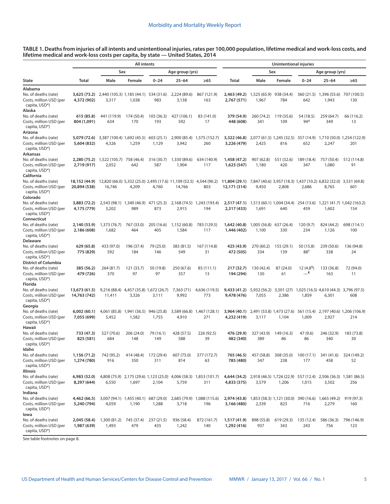| TABLE 1. Deaths from injuries of all intents and unintentional injuries, rates per 100,000 population, lifetime medical and work-loss costs, and |  |
|--------------------------------------------------------------------------------------------------------------------------------------------------|--|
| lifetime medical and work-loss costs per capita, by state — United States, 2014                                                                  |  |

|                                                                                         | <b>All intents</b>            |                                                |                                                 |                     |                                                                              |                                                                          | <b>Unintentional injuries</b>                                                              |                       |                                             |                              |                                                                           |                                   |
|-----------------------------------------------------------------------------------------|-------------------------------|------------------------------------------------|-------------------------------------------------|---------------------|------------------------------------------------------------------------------|--------------------------------------------------------------------------|--------------------------------------------------------------------------------------------|-----------------------|---------------------------------------------|------------------------------|---------------------------------------------------------------------------|-----------------------------------|
|                                                                                         | Sex                           |                                                |                                                 |                     | Age group (yrs)                                                              |                                                                          |                                                                                            |                       | Sex                                         |                              | Age group (yrs)                                                           |                                   |
| <b>State</b>                                                                            | Total                         | Male                                           | Female                                          | $0 - 24$            | $25 - 64$                                                                    | $\geq 65$                                                                | Total                                                                                      | Male                  | Female                                      | $0 - 24$                     | 25–64                                                                     | $\geq 65$                         |
| Alabama                                                                                 |                               |                                                |                                                 |                     |                                                                              |                                                                          |                                                                                            |                       |                                             |                              |                                                                           |                                   |
| No. of deaths (rate)<br>Costs, million USD (per<br>capita, USD*)<br>Alaska              | 3,625 (73.2)<br>4,372 (902)   | 2,440 (105.3) 1,185 (44.1) 534 (31.6)<br>3,317 | 1,038                                           | 983                 | 2,224 (89.6)<br>3,138                                                        | 867 (121.9)<br>163                                                       | 2,463 (49.2)<br>2,767 (571)                                                                | 1,525 (65.9)<br>1,967 | 938 (34.4)<br>784                           | 360(21.5)<br>642             | 1,396 (55.6)<br>1,943                                                     | 707 (100.5)<br>130                |
| No. of deaths (rate)<br>Costs, million USD (per<br>capita, USD*)                        | 615 (85.8)<br>804 (1,091)     | 441 (119.9)<br>634                             | 174 (50.4)<br>170                               | 105 (36.3)<br>193   | 427 (106.1)<br>592                                                           | 83 (141.0)<br>17                                                         | 379 (54.9)<br>448 (608)                                                                    | 260 (74.2)<br>341     | 119 (35.6)<br>109                           | 54 (18.5)<br>94 <sup>a</sup> | 259 (64.7)<br>349                                                         | 66 (116.2)<br>13                  |
| Arizona<br>No. of deaths (rate)<br>Costs, million USD (per<br>capita, USD*)<br>Arkansas | 5,079 (72.6)<br>5,604 (832)   | 3,387 (100.4) 1,692 (45.5)<br>4,326            | 1,259                                           | 603 (25.1)<br>1,129 | 2,900 (85.4)<br>3,942                                                        | 1,575 (152.7)<br>260                                                     | 3,322 (46.8)<br>3,226 (479)                                                                | 2,425                 | 2,077 (61.5) 1,245 (32.5) 357 (14.9)<br>816 | 652                          | 2,247                                                                     | 1,710 (50.0) 1,254 (122.9)<br>201 |
| No. of deaths (rate)<br>Costs, million USD (per<br>capita, USD*)<br>California          | 2,280 (75.2)<br>2,719 (917)   | 1,522 (105.7)<br>2,052                         | 758 (46.4)<br>642                               | 316 (30.7)<br>587   | 1,330 (89.6)<br>1,904                                                        | 634 (140.9)<br>117                                                       | 1,458 (47.2)<br>1,623 (547)                                                                | 907 (62.8)<br>1,180   | 551 (32.6)<br>420                           | 189 (18.4)<br>347            | 757 (50.4)<br>1,080                                                       | 512 (114.8)<br>91                 |
| No. of deaths (rate)<br>Costs, million USD (per<br>capita, USD*)<br>Colorado            | 18,152 (44.9)<br>20,894 (538) | 16,746                                         | 4,209                                           | 4,760               | 12,820 (66.0) 5,332 (25.0) 2,495 (17.6) 11,109 (52.5) 4,544 (90.2)<br>14,766 | 803                                                                      | 11,804 (29.1)<br>12,171 (314)                                                              | 9,450                 | 2,808                                       | 2,686                        | 7,847 (40.6) 3,957 (18.3) 1,437 (10.2) 6,832 (32.0) 3,531 (69.8)<br>8,765 | 601                               |
| No. of deaths (rate)<br>Costs, million USD (per<br>capita, USD*)                        | 3,883 (72.2)<br>4,175 (779)   | 3,202                                          | 2,543 (98.1) 1,340 (46.9) 471 (25.3)<br>989     | 873                 | 2,168 (74.5)<br>2,915                                                        | 1,243 (193.4)<br>194                                                     | 2,517 (47.1)<br>2,317 (433)                                                                | 1,691                 | 1,513 (60.1) 1,004 (34.4)<br>640            | 254 (13.6)<br>459            | 1,602                                                                     | 1,221 (41.7) 1,042 (163.2)<br>154 |
| Connecticut<br>No. of deaths (rate)<br>Costs, million USD (per<br>capita, USD*)         | 2,140 (53.9)<br>2,186 (608)   | 1,373 (76.7)<br>1,682                          | 767 (33.0)<br>464                               | 205 (16.6)<br>405   | 1,152 (60.8)<br>1,584                                                        | 783 (129.5)<br>117                                                       | 1,642 (40.8)<br>1,446 (402)                                                                | 1,005 (56.8)<br>1,100 | 637 (26.4)<br>330                           | 120 (9.7)<br>234             | 824 (44.2)<br>1,126                                                       | 698 (114.1)<br>100                |
| Delaware<br>No. of deaths (rate)                                                        | 629 (65.8)                    | 433 (97.0)                                     | 196 (37.4)                                      | 79 (25.0)           | 383 (81.5)                                                                   | 167 (114.8)                                                              |                                                                                            | 270 (60.2)            | 155 (29.1)                                  | 50 (15.8)                    | 239 (50.6)                                                                | 136 (94.8)                        |
| Costs, million USD (per<br>capita, USD*)<br>District of Columbia                        | 775 (829)                     | 592                                            | 184                                             | 146                 | 549                                                                          | 31                                                                       | 425 (43.9)<br>472 (505)                                                                    | 334                   | 139                                         | 88†                          | 338                                                                       | 24                                |
| No. of deaths (rate)<br>Costs, million USD (per<br>capita, USD*)<br>Florida             | 385 (56.2)<br>479 (726)       | 264 (81.7)<br>370                              | 121 (33.7)<br>97                                | 50 (19.8)<br>97     | 250 (67.6)<br>357                                                            | 85 (111.1)<br>13                                                         | 217 (32.7)<br>194 (294)                                                                    | 130 (42.4)<br>130     | 87 (24.0)<br>61                             | $12(4.8^{\circ})$<br>ا—      | 133 (36.8)<br>163                                                         | 72 (94.0)<br>11                   |
| No. of deaths (rate)<br>Costs, million USD (per<br>capita, USD*)<br>Georgia             | 13,673 (61.5)<br>14,763 (742) | 11,411                                         | 9,216 (88.4) 4,457 (35.8) 1,672 (26.7)<br>3,326 | 3,111               | 7,363 (71)<br>9,992                                                          | 4,636 (119.5)<br>773                                                     | 9,433 (41.2)<br>9,478 (476)                                                                | 5,932 (56.2)<br>7,055 | 3,501(27)<br>2,386                          | 1,859                        | 1,025 (16.5) 4,610 (44.3) 3,796 (97.5)<br>6,301                           | 608                               |
| No. of deaths (rate)<br>Costs, million USD (per<br>capita, USD*)<br>Hawaii              | 6,002(60.1)<br>7,055 (699)    | 4,061 (85.8)<br>5,452                          | 1,941 (36.5)<br>1,582                           | 946 (25.8)<br>1,755 | 3,589 (66.8)<br>4,910                                                        | 1,467 (128.1)<br>271                                                     | 3,964 (40.1)<br>4,232 (419)                                                                | 3,117                 | 2,491 (53.8) 1,473 (27.6)<br>1,104          | 561 (15.4)<br>1,009          | 2,927                                                                     | 2,197 (40.6) 1,206 (106.9)<br>214 |
| No. of deaths (rate)<br>Costs, million USD (per<br>capita, USD*)<br>Idaho               | 733 (47.3)<br>825 (581)       | 527 (70.6)<br>684                              | 206 (24.0)<br>148                               | 79 (16.1)<br>149    | 428 (57.5)<br>588                                                            | 226 (92.5)<br>39                                                         | 476 (29.9)<br>482 (340)                                                                    | 327 (43.9)<br>389     | 149 (16.3)<br>86                            | 47 (9.6)<br>86               | 246 (32.9)<br>340                                                         | 183 (73.8)<br>30                  |
| No. of deaths (rate)<br>Costs, million USD (per<br>capita, USD*)<br>Illinois            | 1,156 (71.2)<br>1,274 (780)   | 742 (95.2)<br>916                              | 414 (48.4)<br>350                               | 172 (29.4)<br>311   | 607 (75.0)<br>814                                                            | 377 (172.7)<br>63                                                        | 765 (46.5)<br>785 (480)                                                                    | 457 (58.8)<br>547     | 308 (35.0)<br>238                           | 100 (17.1)<br>177            | 341 (41.6)<br>458                                                         | 324 (149.2)<br>52                 |
| No. of deaths (rate)<br>Costs, million USD (per<br>capita, USD*)<br>Indiana             | 6,983 (52.0)<br>8,297 (644)   | 6,550                                          | 1,697                                           | 2,104               | 5,759                                                                        | 4,808 (75.9) 2,175 (29.6) 1,123 (25.0) 4,006 (58.3) 1,853 (101.7)<br>311 | 4,644 (34.2) 2,918 (46.5) 1,726 (22.9) 557 (12.4) 2,506 (36.3) 1,581 (86.5)<br>4,833 (375) | 3,579                 | 1,206                                       | 1,015                        | 3,502                                                                     | 256                               |
| No. of deaths (rate)<br>Costs, million USD (per<br>capita, USD <sup>*</sup> )           | 4,462 (66.5)<br>5,240 (794)   | 3,007 (94.1) 1,455 (40.1) 687 (29.0)<br>4,059  | 1,190                                           | 1,288               | 3,718                                                                        | 2,685 (79.9) 1,088 (115.6)<br>196                                        | 2,974 (43.8) 1,853 (58.3) 1,121 (30.0) 390 (16.6) 1,665 (49.2)<br>3,166 (480)              | 2,339                 | 823                                         | 716                          | 2,279                                                                     | 919 (97.3)<br>160                 |
| lowa<br>No. of deaths (rate)<br>Costs, million USD (per<br>capita, USD*)                | 2,045 (58.4)<br>1,987 (639)   | 1,300 (81.2)<br>1,493                          | 745 (37.4)<br>479                               | 237 (21.5)<br>435   | 936 (58.4)<br>1,242                                                          | 872 (161.7)<br>140                                                       | 1,517 (41.9)<br>1,292 (416)                                                                | 898 (55.8)<br>937     | 619 (29.3)<br>343                           | 135 (12.4)<br>243            | 586 (36.3)<br>756                                                         | 796 (146.9)<br>123                |

See table footnotes on page 8.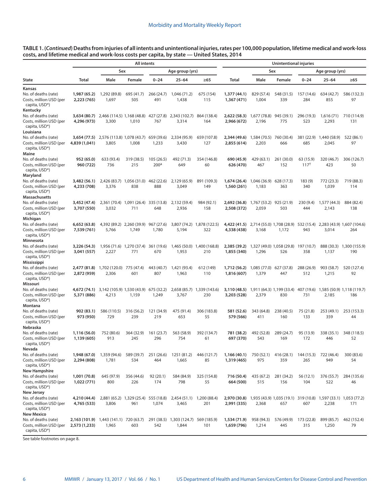**TABLE 1. (***Continued***) Deaths from injuries of all intents and unintentional injuries, rates per 100,000 population, lifetime medical and work-loss costs, and lifetime medical and work-loss costs per capita, by state — United States, 2014**

|                                                                                          | <b>All intents</b>                                      |                                     |                   |                               |                                               | Unintentional injuries            |                             |                                    |                   |                        |                                                                         |                                                                        |
|------------------------------------------------------------------------------------------|---------------------------------------------------------|-------------------------------------|-------------------|-------------------------------|-----------------------------------------------|-----------------------------------|-----------------------------|------------------------------------|-------------------|------------------------|-------------------------------------------------------------------------|------------------------------------------------------------------------|
|                                                                                          |                                                         | Sex                                 |                   |                               | Age group (yrs)                               |                                   |                             |                                    | Sex               |                        | Age group (yrs)                                                         |                                                                        |
| <b>State</b>                                                                             | Total                                                   | Male                                | Female            | $0 - 24$                      | $25 - 64$                                     | $\geq 65$                         | Total                       | Male                               | Female            | $0 - 24$               | $25 - 64$                                                               | $\geq 65$                                                              |
| Kansas                                                                                   |                                                         |                                     |                   |                               |                                               |                                   |                             |                                    |                   |                        |                                                                         |                                                                        |
| No. of deaths (rate)<br>Costs, million USD (per<br>capita, USD*)                         | 1,987 (65.2)<br>2,223 (765)                             | 1,292 (89.8)<br>1,697               | 695 (41.7)<br>505 | 266 (24.7)<br>491             | 1,046 (71.2)<br>1,438                         | 675 (154)<br>115                  | 1,377 (44.1)<br>1,367 (471) | 829 (57.4)<br>1,004                | 548 (31.5)<br>339 | 157 (14.6)<br>284      | 634 (42.7)<br>855                                                       | 586 (132.3)<br>97                                                      |
| Kentucky<br>No. of deaths (rate)<br>Costs, million USD (per<br>capita, USD*)             | 3,634 (80.7)<br>4,296 (973)                             | 2,466 (114.5) 1,168 (48.8)<br>3,300 | 1,010             | 427 (27.8)<br>767             | 2,343 (102.7)<br>3,314                        | 864 (138.4)<br>164                | 2,622 (58.3)<br>2,966 (672) | 1,677 (78.8)<br>2,196              | 945 (39.1)<br>775 | 296 (19.3)<br>523      | 1,616(71)<br>2,293                                                      | 710 (114.9)<br>131                                                     |
| Louisiana<br>No. of deaths (rate)<br>Costs, million USD (per<br>capita, USD*)            | 3,654 (77.5)<br>4,839 (1,041)                           | 2,576 (113.8) 1,078 (43.7)<br>3,805 | 1,008             | 659 (39.6)<br>1,233           | 2,334 (95.9)<br>3,430                         | 659 (107.8)<br>127                | 2,344 (49.6)<br>2,855 (614) | 1,584 (70.5)<br>2,203              | 760 (30.4)<br>666 | 381 (22.9)<br>685      | 1,440 (58.9)<br>2,045                                                   | 522 (86.1)<br>97                                                       |
| Maine<br>No. of deaths (rate)<br>Costs, million USD (per<br>capita, USD*)                | 952 (65.0)<br>960 (722)                                 | 633 (93.4)<br>736                   | 319 (38.5)<br>215 | 105(26.5)<br>200 <sup>a</sup> | 492 (71.3)<br>649                             | 354 (146.8)<br>60                 | 690 (45.9)<br>626 (470)     | 429 (63.1)<br>467                  | 261 (30.0)<br>152 | 63 (15.9)<br>$117^{+}$ | 320 (46.7)<br>423                                                       | 306 (126.7)<br>50                                                      |
| Maryland<br>No. of deaths (rate)<br>Costs, million USD (per<br>capita, USD*)             | 3,482 (56.1)<br>4,233 (708)                             | 2,426 (83.7) 1,056 (31.0)<br>3,376  | 838               | 462 (22.6)<br>888             | 2,129 (65.9)<br>3,049                         | 891 (109.3)<br>149                | 1,674 (26.4)<br>1,560 (261) | 1,046 (36.9)<br>1,183              | 628 (17.3)<br>363 | 183(9)<br>340          | 772 (23.3)<br>1,039                                                     | 719 (88.3)<br>114                                                      |
| <b>Massachusetts</b><br>No. of deaths (rate)<br>Costs, million USD (per<br>capita, USD*) | 3,452 (47.4)<br>3,707 (550)                             | 2,361 (70.4) 1,091 (26.4)<br>3,032  | 711               | 335 (13.8)<br>648             | 2,132 (59.4)<br>2,936                         | 984 (92.1)<br>158                 | 2,692 (36.8)<br>2,508 (372) | 1,767 (53.2) 925 (21.9)<br>2,059   | 503               | 230 (9.4)<br>444       | 1,577 (44.3)<br>2,143                                                   | 884 (82.4)<br>138                                                      |
| Michigan                                                                                 |                                                         |                                     |                   |                               |                                               |                                   |                             |                                    |                   |                        |                                                                         |                                                                        |
| No. of deaths (rate)<br>Costs, million USD (per<br>capita, USD*)                         | 6,652 (63.8)<br>7,539 (761)                             | 4,392 (89.2) 2,260 (39.9)<br>5,766  | 1,749             | 967 (27.6)<br>1,780           | 5,194                                         | 3,807 (74.2) 1,878 (122.5)<br>322 | 4,422 (41.5)<br>4,338 (438) | 3,168                              | 1,172             | 943                    | 3,014                                                                   | 2,714 (55.0) 1,708 (28.9) 532 (15.4) 2,283 (43.9) 1,607 (104.6)<br>264 |
| Minnesota                                                                                |                                                         |                                     |                   |                               |                                               |                                   |                             |                                    |                   | 197 (10.7)             |                                                                         | 1,300 (155.9)                                                          |
| No. of deaths (rate)<br>Costs, million USD (per<br>capita, USD*)                         | 3,226 (54.3)<br>3,041 (557)                             | 1,956 (71.6) 1,270 (37.4)<br>2,227  | 771               | 361 (19.6)<br>670             | 1,953                                         | 1,465 (50.0) 1,400 (168.8)<br>210 | 2,385 (39.2)<br>1,855 (340) | 1,327 (49.0) 1,058 (29.8)<br>1,296 | 526               | 358                    | 888 (30.3)<br>1,137                                                     | 190                                                                    |
| Mississippi<br>No. of deaths (rate)<br>Costs, million USD (per<br>capita, USD*)          | 2,477 (81.8)<br>2,872 (959)                             | 1,702 (120.0)<br>2,306              | 775 (47.4)<br>601 | 443 (40.7)<br>807             | 1,421 (93.4)<br>1,963                         | 612 (149)<br>110                  | 1,712 (56.2)<br>1,816 (607) | 1,085 (77.0)<br>1,379              | 627 (37.8)<br>447 | 288 (26.9)<br>512      | 903 (58.7)<br>1,215                                                     | 520 (127.4)<br>92                                                      |
| Missouri<br>No. of deaths (rate)<br>Costs, million USD (per<br>capita, USD*)             | 4,672 (74.1)<br>5,371 (886)                             | 3,142 (105.9) 1,530 (43.9)<br>4,213 | 1,159             | 675 (32.2)<br>1,249           | 3,767                                         | 2,658 (85.7) 1,339 (143.6)<br>230 | 3,110 (48.5)<br>3,203 (528) | 1,911 (64.3) 1,199 (33.4)<br>2,379 | 830               | 407 (19.6)<br>731      | 2,185                                                                   | 1,585 (50.9) 1,118 (119.7)<br>186                                      |
| Montana                                                                                  |                                                         |                                     |                   |                               |                                               |                                   |                             |                                    |                   |                        |                                                                         |                                                                        |
| No. of deaths (rate)<br>Costs, million USD (per<br>capita, USD*)<br>Nebraska             | 902 (83.1)<br>973 (950)                                 | 586 (110.5)<br>729                  | 316 (56.2)<br>239 | 121 (34.9)<br>219             | 475 (91.4)<br>653                             | 306 (183.8)<br>55                 | 581 (52.6)<br>579 (566)     | 343 (64.8)<br>411                  | 238 (40.5)<br>160 | 75 (21.8)<br>133       | 253 (49.1)<br>359                                                       | 253 (153.3)<br>44                                                      |
| No. of deaths (rate)<br>Costs, million USD (per<br>capita, USD*)<br>Nevada               | 1,116 (56.0)<br>1,139 (605)                             | 752 (80.6)<br>913                   | 364 (32.9)<br>245 | 161 (23.7)<br>296             | 563 (58.9)<br>754                             | 392 (134.7)<br>61                 | 781 (38.2)<br>697 (370)     | 492 (52.8)<br>543                  | 289 (24.7)<br>169 | 95 (13.9)<br>172       | 338 (35.1)<br>446                                                       | 348 (118.5)<br>52                                                      |
| No. of deaths (rate)<br>Costs, million USD (per<br>capita, USD <sup>*</sup> )            | 1,948 (67.0)<br>2,294 (808)                             | 1,359 (94.6)<br>1,781               | 589 (39.7)<br>534 | 251 (26.6)<br>464             | 1251 (81.2)<br>1,665                          | 446 (121.7)<br>85                 | 1,166(40.1)<br>1,319 (465)  | 750 (52.1)<br>975                  | 416(28.1)<br>359  | 144 (15.3)<br>265      | 722 (46.4)<br>949                                                       | 300 (83.6)<br>54                                                       |
| New Hampshire                                                                            |                                                         |                                     |                   |                               |                                               |                                   |                             |                                    |                   |                        |                                                                         |                                                                        |
| No. of deaths (rate)<br>Costs, million USD (per<br>capita, USD*)                         | 1,001 (70.8)<br>1,022 (771)                             | 645 (97.9)<br>800                   | 356 (44.6)<br>226 | 92 (20.1)<br>174              | 584 (84.9)<br>798                             | 325 (154.8)<br>55                 | 716 (50.4)<br>664 (500)     | 435 (67.2)<br>515                  | 281 (34.2)<br>156 | 56 (12.1)<br>104       | 376 (55.7)<br>522                                                       | 284 (135.6)<br>46                                                      |
| <b>New Jersey</b><br>No. of deaths (rate)<br>Costs, million USD (per<br>capita, USD*)    | 4,210 (44.4)<br>4,765 (533)                             | 2,881 (65.2) 1,329 (25.4)<br>3,806  | 961               | 555 (18.8)<br>1,074           | 2,454 (51.1) 1,200 (88.4)<br>3,465            | 201                               | 2,970 (30.8)<br>2,991 (335) | 2,368                              | 657               | 607                    | 1,935 (43.9) 1,035 (19.1) 319 (10.8) 1,597 (33.1) 1,053 (77.2)<br>2,238 | 171                                                                    |
| <b>New Mexico</b><br>No. of deaths (rate)<br>Costs, million USD (per<br>capita, USD*)    | 2,163 (101.9) 1,443 (141.1) 720 (63.7)<br>2,573 (1,233) | 1,965                               | 603               | 542                           | 291 (38.5) 1,303 (124.7) 569 (185.9)<br>1,844 | 101                               | 1,534 (71.9)<br>1,659 (796) | 958 (94.3)<br>1,214                | 576 (49.9)<br>445 | 173 (22.8)<br>315      | 899 (85.7)<br>1,250                                                     | 462 (152.4)<br>79                                                      |

See table footnotes on page 8.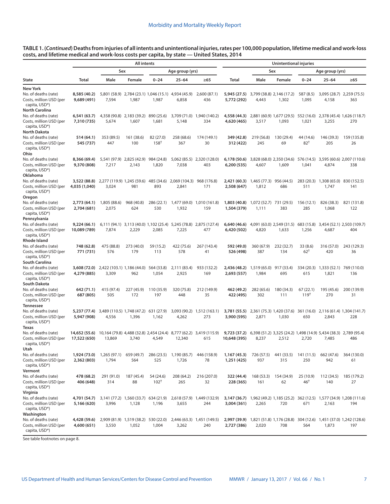**TABLE 1. (***Continued***) Deaths from injuries of all intents and unintentional injuries, rates per 100,000 population, lifetime medical and work-loss costs, and lifetime medical and work-loss costs per capita, by state — United States, 2014**

|                                                                                               |                               | <b>All intents</b>                                |                       |                        |                                                              |                                                                          | Unintentional injuries       |                                  |                                    |                             |                                                                           |                                                                        |
|-----------------------------------------------------------------------------------------------|-------------------------------|---------------------------------------------------|-----------------------|------------------------|--------------------------------------------------------------|--------------------------------------------------------------------------|------------------------------|----------------------------------|------------------------------------|-----------------------------|---------------------------------------------------------------------------|------------------------------------------------------------------------|
|                                                                                               |                               | Sex<br>Age group (yrs)                            |                       |                        |                                                              |                                                                          | Sex                          |                                  |                                    |                             | Age group (yrs)                                                           |                                                                        |
| <b>State</b>                                                                                  | Total                         | Male                                              | Female                | $0 - 24$               | 25-64                                                        | $\geq 65$                                                                | Total                        | Male                             | Female                             | $0 - 24$                    | $25 - 64$                                                                 | $\geq 65$                                                              |
| New York                                                                                      |                               |                                                   |                       |                        |                                                              |                                                                          |                              |                                  |                                    |                             |                                                                           |                                                                        |
| No. of deaths (rate)<br>Costs, million USD (per<br>capita, USD*)                              | 8,585 (40.2)<br>9,689 (491)   | 7,594                                             | 1,987                 | 1,987                  | 5,801 (58.9) 2,784 (23.1) 1,046 (15.1) 4,934 (45.9)<br>6,858 | 2,600 (87.1)<br>436                                                      | 5,945 (27.5)<br>5,772 (292)  | 4,443                            | 3,799 (38.8) 2,146 (17.2)<br>1,302 | 587 (8.5)<br>1,095          | 3,095 (28.7) 2,259 (75.5)<br>4,158                                        | 363                                                                    |
| <b>North Carolina</b><br>No. of deaths (rate)<br>Costs, million USD (per<br>capita, USD*)     | 6,541(63.7)<br>7,310 (735)    | 4,358 (90.8)<br>5,674                             | 2,183 (39.2)<br>1,607 | 890 (25.6)<br>1,681    | 3,709 (71.0)<br>5,148                                        | 1,940 (140.2)<br>334                                                     | 4,558 (44.3)<br>4,620 (465)  | 3,517                            | 2,881 (60.9) 1,677 (29.5)<br>1,093 | 552 (16.0)<br>1,021         | 3,255                                                                     | 2,378 (45.4) 1,626 (118.7)<br>270                                      |
| <b>North Dakota</b><br>No. of deaths (rate)<br>Costs, million USD (per<br>capita, USD*)       | 514 (64.1)<br>545 (737)       | 353 (89.5)<br>447                                 | 161 (38.6)<br>100     | 82 (27.0)<br>$158^{+}$ | 258 (68.6)<br>367                                            | 174 (149.1)<br>30                                                        | 349 (42.8)<br>312 (422)      | 219 (56.8)<br>245                | 130 (29.4)<br>69                   | 44 (14.6)<br>$82^{+}$       | 146 (39.3)<br>205                                                         | 159 (135.8)<br>26                                                      |
| Ohio<br>No. of deaths (rate)<br>Costs, million USD (per<br>capita, USD*)                      | 8,366 (69.4)<br>9,370 (808)   | 5,541 (97.9) 2,825 (42.9)<br>7,217                | 2,143                 | 984 (24.8)<br>1,820    | 7,038                                                        | 5,062 (85.5) 2,320 (128.0)<br>403                                        | 6,178 (50.6)<br>6,200 (535)  | 4,607                            | 3,828 (68.0) 2,350 (34.6)<br>1,609 | 576 (14.5)<br>1,041         | 4,874                                                                     | 3,595 (60.6) 2,007 (110.6)<br>338                                      |
| Oklahoma<br>No. of deaths (rate)<br>Costs, million USD (per<br>capita, USD*)                  | 3,522 (88.8)<br>4,035 (1,040) | 2,277 (119.9) 1,245 (59.6)<br>3,024               | 981                   | 485 (34.6)<br>893      | 2,069 (104.3)<br>2,841                                       | 968 (176.8)<br>171                                                       | 2,421 (60.3)<br>2,508 (647)  | 1,465 (77.3) 956 (44.5)<br>1,812 | 686                                | 283 (20.3)<br>511           | 1,308 (65.0)<br>1,747                                                     | 830 (152.5)<br>141                                                     |
| Oregon<br>No. of deaths (rate)<br>Costs, million USD (per<br>capita, USD*)                    | 2,773 (64.1)<br>2,704 (681)   | 1,805 (88.6)<br>2,075                             | 968 (40.8)<br>624     | 286 (22.1)<br>530      | 1,477 (69.0)<br>1,932                                        | 1,010 (161.8)<br>159                                                     | 1,803 (40.8)<br>1,504 (379)  | 1,072 (52.7) 731 (29.5)<br>1,111 | 383                                | 156 (12.1)<br>285           | 826 (38.3)<br>1,068                                                       | 821 (131.8)<br>122                                                     |
| Pennsylvania<br>No. of deaths (rate)<br>Costs, million USD (per<br>capita, USD*)              | 9,224 (66.1)<br>10,089 (789)  | 7,874                                             | 2,229                 | 2,085                  | 7,225                                                        | 6,111 (94.1) 3,113 (40.0) 1,102 (25.4) 5,245 (78.8) 2,875 (127.4)<br>477 | 6,640 (46.6)<br>6,420 (502)  | 4,820                            | 4,091 (63.0) 2,549 (31.5)<br>1,633 | 1,256                       | 683 (15.8) 3,454 (52.1) 2,503 (109.7)<br>4,687                            | 404                                                                    |
| <b>Rhode Island</b><br>No. of deaths (rate)<br>Costs, million USD (per<br>capita, USD*)       | 748 (62.8)<br>771 (731)       | 475 (88.8)<br>576                                 | 273 (40.0)<br>179     | 59 (15.2)<br>113       | 422 (75.6)<br>578                                            | 267 (143.4)<br>41                                                        | 592 (49.0)<br>526 (498)      | 360 (67.9)<br>387                | 232 (32.7)<br>134                  | 33 (8.6)<br>$62^{+}$        | 316 (57.0)<br>420                                                         | 243 (129.3)<br>36                                                      |
| <b>South Carolina</b><br>No. of deaths (rate)<br>Costs, million USD (per<br>capita, USD*)     | 3,608 (72.0)<br>4,279 (885)   | 2,422 (103.1) 1,186 (44.0)<br>3,309               | 962                   | 564 (33.8)<br>1,054    | 2,111 (83.4)<br>2,925                                        | 933 (132.2)<br>169                                                       | 2,436 (48.2)<br>2,693 (557)  | 1,519 (65.0)<br>1,984            | 917 (33.4)<br>695                  | 334 (20.3)<br>615           | 1,333 (52.1)<br>1,821                                                     | 769 (110.0)<br>136                                                     |
| South Dakota<br>No. of deaths (rate)<br>Costs, million USD (per<br>capita, USD*)              | 642 (71.1)<br>687 (805)       | 415 (97.4)<br>505                                 | 227 (45.9)<br>172     | 110 (35.9)<br>197      | 320 (75.8)<br>448                                            | 212 (149.9)<br>35                                                        | 462 (49.2)<br>422 (495)      | 282 (65.6)<br>302                | 180 (34.3)<br>111                  | 67(22.1)<br>$119^{+}$       | 195 (45.6)<br>270                                                         | 200 (139.9)<br>31                                                      |
| <b>Tennessee</b><br>No. of deaths (rate)<br>Costs, million USD (per<br>capita, USD*)<br>Texas | 5,237 (77.4)<br>5,947 (908)   | 3,489 (110.5) 1,748 (47.2)<br>4,556               | 1,396                 | 631 (27.9)<br>1,162    | 4,262                                                        | 3,093 (90.2) 1,512 (163.1)<br>273                                        | 3,781 (55.5)<br>3,900 (595)  | 2,871                            | 2,361 (75.3) 1,420 (37.6)<br>1,030 | 361 (16.0)<br>650           | 2,116 (61.4) 1,304 (141.7)<br>2,843                                       | 228                                                                    |
| No. of deaths (rate)<br>Costs, million USD (per<br>capita, USD*)<br>Utah                      | 14,652 (55.6)<br>17,522 (650) | 10,164 (79.8) 4,488 (32.8) 2,454 (24.4)<br>13,869 | 3,740                 | 4,549                  | 12,340                                                       | 8,777 (62.2) 3,419 (115.9)<br>615                                        | 9,723 (37.2)<br>10,648 (395) | 8,237                            | 2,512                              | 2,720                       | 6,398 (51.2) 3,325 (24.2) 1,498 (14.9) 5,434 (38.3) 2,789 (95.4)<br>7,485 | 486                                                                    |
| No. of deaths (rate)<br>Costs, million USD (per<br>capita, USD*)                              | 1,924 (73.0)<br>2,362 (803)   | 1,265 (97.1) 659 (49.7)<br>1,794                  | 564                   | 525                    | 286 (23.5) 1,190 (85.7)<br>1,726                             | 446 (158.9)<br>78                                                        | 1,167 (45.3)<br>1,251 (425)  | 726 (57.5)<br>937                | 441 (33.5)<br>315                  | 141 (11.5)<br>250           | 662 (47.6)<br>942                                                         | 364 (130.0)<br>61                                                      |
| Vermont<br>No. of deaths (rate)<br>Costs, million USD (per<br>capita, USD*)                   | 478 (68.2)<br>406 (648)       | 291 (91.0)<br>314                                 | 187 (45.4)<br>88      | 54 (24.6)<br>$102^{+}$ | 208 (64.2)<br>265                                            | 216 (207.0)<br>32                                                        | 322 (44.4)<br>228 (365)      | 168 (53.3)<br>161                | 154 (34.9)<br>62                   | 25 (10.9)<br>$46^{\dagger}$ | 112 (34.5)<br>140                                                         | 185 (179.2)<br>27                                                      |
| Virginia<br>No. of deaths (rate)<br>Costs, million USD (per<br>capita, USD*)                  | 4,701 (54.7)<br>5,166 (620)   | 3,141 (77.2) 1,560 (33.7) 634 (21.9)<br>3,996     | 1,128                 | 1,196                  | 3,655                                                        | 2,618 (57.9) 1,449 (132.9)<br>244                                        | 3,147 (36.7)<br>3,004 (361)  | 2,265                            | 720                                | 671                         | 2,163                                                                     | 1,962 (49.2) 1,185 (25.2) 362 (12.5) 1,577 (34.9) 1,208 (111.6)<br>194 |
| Washington<br>No. of deaths (rate)<br>Costs, million USD (per<br>capita, USD*)                | 4,428 (59.6)<br>4,600 (651)   | 2,909 (81.9) 1,519 (38.2) 530 (22.0)<br>3,550     | 1,052                 | 1,004                  | 3,262                                                        | 2,446 (63.3) 1,451 (149.5)<br>240                                        | 2,997 (39.9)<br>2,727 (386)  | 2,020                            | 708                                | 564                         | 1,873                                                                     | 1,821 (51.8) 1,176 (28.8) 304 (12.6) 1,451 (37.0) 1,242 (128.6)<br>197 |
|                                                                                               |                               |                                                   |                       |                        |                                                              |                                                                          |                              |                                  |                                    |                             |                                                                           |                                                                        |

See table footnotes on page 8.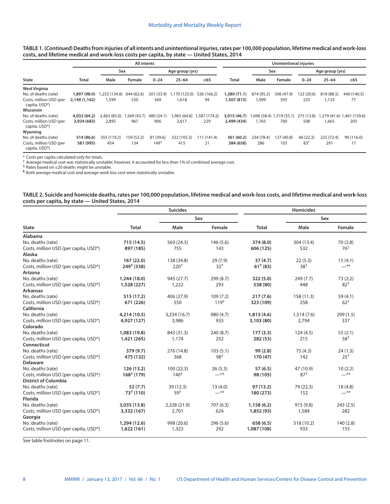**TABLE 1. (***Continued***) Deaths from injuries of all intents and unintentional injuries, rates per 100,000 population, lifetime medical and work-loss costs, and lifetime medical and work-loss costs per capita, by state — United States, 2014**

|                                          |               | <b>All intents</b> |            |            |                 |               | <b>Unintentional injuries</b> |            |                           |                 |                 |                           |
|------------------------------------------|---------------|--------------------|------------|------------|-----------------|---------------|-------------------------------|------------|---------------------------|-----------------|-----------------|---------------------------|
|                                          |               | Sex                |            |            | Age group (yrs) |               |                               |            | Sex                       |                 | Age group (yrs) |                           |
| <b>State</b>                             | Total         | Male               | Female     | $0 - 24$   | $25 - 64$       | $\geq 65$     | <b>Total</b>                  | Male       | Female                    | $0 - 24$        | $25 - 64$       | $\geq 65$                 |
| <b>West Virginia</b>                     |               |                    |            |            |                 |               |                               |            |                           |                 |                 |                           |
| No. of deaths (rate)                     | 1,897 (98.0)  | ,253 (134.8)       | 644 (62.6) | 201 (33.9) | 1,170 (125.0)   | 526 (166.2)   | 1,380 (71.1)                  | 874 (95.2) | 506 (47.9)                | 122 (20.6)      | 818 (88.5)      | 440 (140.5)               |
| Costs, million USD (per<br>capita, USD*) | 2,149 (1,162) | 1,599              | 530        | 369        | 1,618           | 94            | 1,507 (815)                   | 1.099      | 393                       | 225             | 1,133           | 77                        |
| Wisconsin                                |               |                    |            |            |                 |               |                               |            |                           |                 |                 |                           |
| No. of deaths (rate)                     | 4,032 (64.2)  | 2.463(85.0)        | .569(43.7) | 480 (24.1) | .965 (64.8)     | 1,587 (174.2) | 3,015 (46.7)                  |            | 1,696 (58.4) 1,319 (35.1) | 275 (13.8)      |                 | (159.6) 1,461 (279 (41.6) |
| Costs, million USD (per<br>capita, USD*) | 3,934 (683)   | 2,895              | 967        | 906        | 2,617           | 229           | 2,499 (434)                   | 1.765      | 700                       | 508             | 1,665           | 203                       |
| Wyoming                                  |               |                    |            |            |                 |               |                               |            |                           |                 |                 |                           |
| No. of deaths (rate)                     | 514 (86.6)    | 355 (119.2)        | 159 (52.2) | 81 (39.6)  | 322 (105.3)     | 111 (141.4)   | 361 (60.2)                    | 234 (78.4) | 127 (40.8)                | 46 (22.3)       | 225 (72.4)      | 90 (116.0)                |
| Costs, million USD (per<br>capita, USD*) | 581 (995)     | 454                | 134        | $149^{+}$  | 415             | 21            | 384 (658)                     | 286        | 103                       | 83 <sup>†</sup> | 291             | 17                        |

\* Costs per capita calculated only for totals.

† Average medical cost was statistically unstable; however, it accounted for less than 1% of combined average cost.

§ Rates based on  $\leq$ 20 deaths might be unstable.

¶ Both average medical cost and average work loss cost were statistically unstable.

|                                                  | TABLE 2. Suicide and homicide deaths, rates per 100,000 population, lifetime medical and work-loss costs, and lifetime medical and work-loss |
|--------------------------------------------------|----------------------------------------------------------------------------------------------------------------------------------------------|
| costs per capita, by state - United States, 2014 |                                                                                                                                              |

|                                       |                        | <b>Suicides</b>  |           | <b>Homicides</b> |            |                 |  |
|---------------------------------------|------------------------|------------------|-----------|------------------|------------|-----------------|--|
|                                       |                        | Sex              |           |                  | Sex        |                 |  |
| <b>State</b>                          | <b>Total</b>           | Male             | Female    | <b>Total</b>     | Male       | Female          |  |
| <b>Alabama</b>                        |                        |                  |           |                  |            |                 |  |
| No. deaths (rate)                     | 715 (14.5)             | 569 (24.3)       | 146(5.6)  | 374 (8.0)        | 304 (13.4) | 70(2.8)         |  |
| Costs, million USD (per capita, USD*) | 897 (185)              | 755              | 143       | 606 (125)        | 532        | 76 <sup>†</sup> |  |
| <b>Alaska</b>                         |                        |                  |           |                  |            |                 |  |
| No. deaths (rate)                     | 167 (22.0)             | 138 (34.8)       | 29(7.9)   | 37(4.7)          | 22(5.3)    | 15(4.1)         |  |
| Costs, million USD (per capita, USD*) | 249 <sup>†</sup> (338) | 220 <sup>†</sup> | $32^{+}$  | $61^+(83)$       | $38^{+}$   | $-$ **          |  |
| Arizona                               |                        |                  |           |                  |            |                 |  |
| No. deaths (rate)                     | 1,244 (18.0)           | 945 (27.7)       | 299 (8.7) | 322 (5.0)        | 249(7.7)   | 73(2.2)         |  |
| Costs, million USD (per capita, USD*) | 1,528 (227)            | 1,222            | 293       | 538 (80)         | 448        | 82 <sup>†</sup> |  |
| <b>Arkansas</b>                       |                        |                  |           |                  |            |                 |  |
| No. deaths (rate)                     | 515 (17.2)             | 406 (27.9)       | 109(7.2)  | 217(7.6)         | 158 (11.3) | 59(4.1)         |  |
| Costs, million USD (per capita, USD*) | 671 (226)              | 550              | $119^{+}$ | 323 (109)        | 258        | $62^{+}$        |  |
| California                            |                        |                  |           |                  |            |                 |  |
| No. deaths (rate)                     | 4,214 (10.5)           | 3,234 (16.7)     | 980 (4.7) | 1,813(4.6)       | 1,514(7.6) | 299(1.5)        |  |
| Costs, million USD (per capita, USD*) | 4,927 (127)            | 3,986            | 933       | 3,103 (80)       | 2,794      | 337             |  |
| Colorado                              |                        |                  |           |                  |            |                 |  |
| No. deaths (rate)                     | 1,083 (19.8)           | 843 (31.3)       | 240 (8.7) | 177(3.3)         | 124(4.5)   | 53(2.1)         |  |
| Costs, million USD (per capita, USD*) | 1,421 (265)            | 1,174            | 252       | 282 (53)         | 215        | 58 <sup>†</sup> |  |
| Connecticut                           |                        |                  |           |                  |            |                 |  |
| No. deaths (rate)                     | 379 (9.7)              | 276 (14.8)       | 103(5.1)  | 99(2.8)          | 75(4.3)    | 24(1.3)         |  |
| Costs, million USD (per capita, USD*) | 475 (132)              | 368              | 98†       | 170 (47)         | 142        | $25^+$          |  |
| <b>Delaware</b>                       |                        |                  |           |                  |            |                 |  |
| No. deaths (rate)                     | 126 (13.2)             | 100(22.3)        | 26(5.3)   | 57(6.5)          | 47 (10.9)  | 10(2.2)         |  |
| Costs, million USD (per capita, USD*) | $168†$ (179)           | $140^{+}$        | —**       | 98 (105)         | $87+$      | $-$ **          |  |
| <b>District of Columbia</b>           |                        |                  |           |                  |            |                 |  |
| No. deaths (rate)                     | 52(7.7)                | 39 (12.3)        | 13(4.0)   | 97 (13.2)        | 79 (22.3)  | 18(4.8)         |  |
| Costs, million USD (per capita, USD*) | $73^{\dagger}$ (110)   | 59 <sup>†</sup>  | $-$ **    | 180 (273)        | 152        | $-$ **          |  |
| <b>Florida</b>                        |                        |                  |           |                  |            |                 |  |
| No. deaths (rate)                     | 3,035 (13.8)           | 2,328 (21.9)     | 707 (6.3) | 1,158(6.2)       | 915 (9.8)  | 243(2.5)        |  |
| Costs, million USD (per capita, USD*) | 3,332 (167)            | 2,701            | 624       | 1,852 (93)       | 1,584      | 282             |  |
| Georgia                               |                        |                  |           |                  |            |                 |  |
| No. deaths (rate)                     | 1,294 (12.6)           | 998 (20.6)       | 296(5.6)  | 658 (6.5)        | 518 (10.2) | 140(2.8)        |  |
| Costs, million USD (per capita, USD*) | 1,622 (161)            | 1,323            | 292       | 1,087 (108)      | 933        | 155             |  |

See table footnotes on page 11.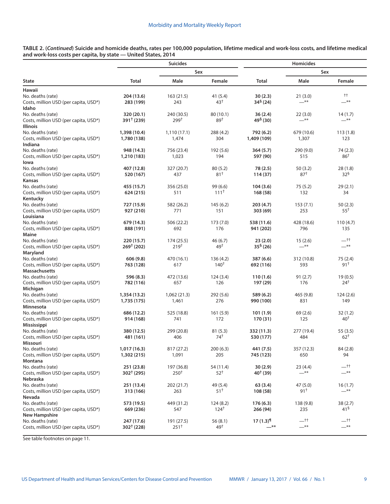**TABLE 2. (***Continued***) Suicide and homicide deaths, rates per 100,000 population, lifetime medical and work-loss costs, and lifetime medical and work-loss costs per capita, by state — United States, 2014**  $\overline{a}$ 

|                                       |                       | <b>Suicides</b>  |                 | Homicides                |                 |                 |  |
|---------------------------------------|-----------------------|------------------|-----------------|--------------------------|-----------------|-----------------|--|
|                                       |                       | Sex              |                 |                          | Sex             |                 |  |
| <b>State</b>                          | <b>Total</b>          | Male             | Female          | <b>Total</b>             | Male            | Female          |  |
| Hawaii                                |                       |                  |                 |                          |                 |                 |  |
| No. deaths (rate)                     | 204 (13.6)            | 163 (21.5)       | 41 (5.4)        | 30(2.3)                  | 21 (3.0)        | $^{++}$         |  |
| Costs, million USD (per capita, USD*) | 283 (199)             | 243              | $43^+$          | 34 <sup>§</sup> (24)     | $-$ **          | $***$           |  |
| Idaho                                 |                       |                  |                 |                          |                 |                 |  |
| No. deaths (rate)                     | 320 (20.1)            | 240 (30.5)       | 80 (10.1)       | 36(2.4)                  | 22 (3.0)        | 14(1.7)         |  |
| Costs, million USD (per capita, USD*) | $391^+(239)$          | 299 <sup>†</sup> | 89 <sup>†</sup> | $49§$ (30)               | $-$ **          | $-$ **          |  |
| Illinois                              |                       |                  |                 |                          |                 |                 |  |
| No. deaths (rate)                     | 1,398 (10.4)          | 1,110 (17.1)     | 288 (4.2)       | 792 (6.2)                | 679 (10.6)      | 113(1.8)        |  |
| Costs, million USD (per capita, USD*) | 1,780 (138)           | 1,474            | 304             | 1,409 (109)              | 1,307           | 123             |  |
| Indiana                               |                       |                  |                 |                          |                 |                 |  |
| No. deaths (rate)                     | 948 (14.3)            | 756 (23.4)       | 192 (5.6)       | 364 (5.7)                | 290 (9.0)       | 74 (2.3)        |  |
| Costs, million USD (per capita, USD*) | 1,210 (183)           | 1,023            | 194             | 597 (90)                 | 515             | 86 <sup>†</sup> |  |
| lowa                                  |                       |                  |                 |                          |                 |                 |  |
| No. deaths (rate)                     | 407 (12.8)            | 327 (20.7)       | 80(5.2)         | 78 (2.5)                 | 50 (3.2)        | 28(1.8)         |  |
| Costs, million USD (per capita, USD*) | 520 (167)             | 437              | $81^+$          | 114(37)                  | 87 <sup>†</sup> | 32 <sup>5</sup> |  |
| <b>Kansas</b>                         |                       |                  |                 |                          |                 |                 |  |
| No. deaths (rate)                     | 455 (15.7)            | 356 (25.0)       | 99 (6.6)        | 104(3.6)                 | 75 (5.2)        | 29(2.1)         |  |
| Costs, million USD (per capita, USD*) | 624 (215)             | 511              | $111^+$         | 168 (58)                 | 132             | 34              |  |
| Kentucky                              |                       |                  |                 |                          |                 |                 |  |
| No. deaths (rate)                     | 727 (15.9)            | 582 (26.2)       | 145(6.2)        | 203 (4.7)                | 153(7.1)        | 50(2.3)         |  |
| Costs, million USD (per capita, USD*) | 927 (210)             | 771              | 151             | 303 (69)                 | 253             | 55†             |  |
| Louisiana                             |                       |                  |                 |                          |                 |                 |  |
| No. deaths (rate)                     | 679 (14.3)            | 506 (22.2)       | 173 (7.0)       | 538 (11.6)               | 428 (18.6)      | 110(4.7)        |  |
| Costs, million USD (per capita, USD*) | 888 (191)             | 692              | 176             | 941 (202)                | 796             | 135             |  |
| Maine                                 |                       |                  |                 |                          |                 |                 |  |
| No. deaths (rate)                     | 220 (15.7)            | 174 (25.5)       | 46 (6.7)        | 23(2.0)                  | 15(2.6)         | $-$ tt          |  |
| Costs, million USD (per capita, USD*) | $269^+(202)$          | $219^{+}$        | 49†             | $35§$ (26)               | $-$ **          | $-$ **          |  |
| Maryland                              |                       |                  |                 |                          |                 |                 |  |
| No. deaths (rate)                     | 606 (9.8)             | 470 (16.1)       | 136 (4.2)       | 387 (6.6)                | 312 (10.8)      | 75(2.4)         |  |
| Costs, million USD (per capita, USD*) | 763 (128)             | 617              | $140^{\dagger}$ | 692 (116)                | 593             | 91†             |  |
| <b>Massachusetts</b>                  |                       |                  |                 |                          |                 |                 |  |
| No. deaths (rate)                     | 596 (8.3)             | 472 (13.6)       | 124(3.4)        | 110(1.6)                 | 91 (2.7)        | 19(0.5)         |  |
| Costs, million USD (per capita, USD*) | 782 (116)             | 657              | 126             | 197 (29)                 | 176             | $24^{\dagger}$  |  |
| Michigan                              |                       |                  |                 |                          |                 |                 |  |
| No. deaths (rate)                     | 1,354 (13.2)          | 1,062 (21.3)     | 292 (5.6)       | 589 (6.2)                | 465 (9.8)       | 124(2.6)        |  |
| Costs, million USD (per capita, USD*) | 1,735 (175)           | 1,461            | 276             | 990 (100)                | 831             | 149             |  |
| Minnesota                             |                       |                  |                 |                          |                 |                 |  |
| No. deaths (rate)                     | 686 (12.2)            | 525 (18.8)       | 161(5.9)        | 101(1.9)                 | 69 (2.6)        | 32(1.2)         |  |
| Costs, million USD (per capita, USD*) | 914 (168)             | 741              | 172             | 170 (31)                 | 125             | $40^{\dagger}$  |  |
| Mississippi                           |                       |                  |                 |                          |                 |                 |  |
| No. deaths (rate)                     | 380 (12.5)            | 299 (20.8)       | 81(5.3)         | 332 (11.3)               | 277 (19.4)      | 55 (3.5)        |  |
| Costs, million USD (per capita, USD*) | 481 (161)             | 406              | 74†             | 530 (177)                | 484             | $62^{+}$        |  |
| Missouri                              |                       |                  |                 |                          |                 |                 |  |
| No. deaths (rate)                     | 1,017(16.3)           | 817 (27.2)       | 200(6.3)        | 441 (7.5)                | 357 (12.3)      | 84 (2.8)        |  |
| Costs, million USD (per capita, USD*) | 1,302 (215)           | 1,091            | 205             | 745 (123)                | 650             | 94              |  |
| Montana                               |                       |                  |                 |                          |                 |                 |  |
| No. deaths (rate)                     | 251 (23.8)            | 197 (36.8)       | 54 (11.4)       | 30(2.9)                  | 23 (4.4)        | $-$ tt          |  |
| Costs, million USD (per capita, USD*) | $302^{\dagger}$ (295) | $250^{\dagger}$  | 52†             | $40^{\dagger}$ (39)      | $-$ **          | $-$ **          |  |
| Nebraska                              |                       |                  |                 |                          |                 |                 |  |
| No. deaths (rate)                     | 251 (13.4)            | 202 (21.7)       | 49 (5.4)        | 63 (3.4)                 | 47 (5.0)        | 16(1.7)         |  |
| Costs, million USD (per capita, USD*) | 313 (166)             | 263              | $51^+$          | 108 (58)                 | 91†             | $-$ **          |  |
| Nevada                                |                       |                  |                 |                          |                 |                 |  |
| No. deaths (rate)                     | 573 (19.5)            | 449 (31.2)       | 124(8.2)        | 176(6.3)                 | 138 (9.8)       | 38(2.7)         |  |
| Costs, million USD (per capita, USD*) | 669 (236)             | 547              | $124^{+}$       | 266 (94)                 | 235             | 41 <sup>§</sup> |  |
| <b>New Hampshire</b>                  |                       |                  |                 |                          |                 |                 |  |
| No. deaths (rate)                     | 247 (17.6)            | 191 (27.5)       | 56(8.1)         | $17(1.3)$ <sup>[1]</sup> | __††            | —††             |  |
| Costs, million USD (per capita, USD*) | $302^{\dagger}$ (228) | $251^+$          | 49 <sup>†</sup> | $-$ **                   | $-$ **          | $-$ **          |  |
|                                       |                       |                  |                 |                          |                 |                 |  |

See table footnotes on page 11.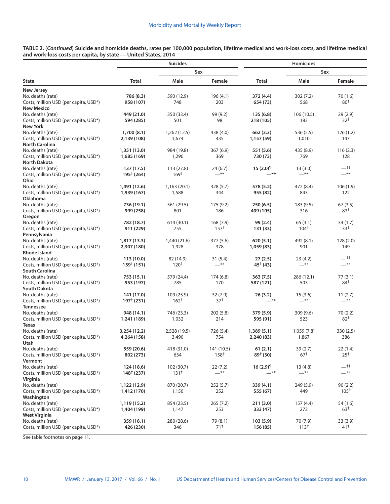**TABLE 2. (***Continued***) Suicide and homicide deaths, rates per 100,000 population, lifetime medical and work-loss costs, and lifetime medical and work-loss costs per capita, by state — United States, 2014**

|                                       |                        | <b>Suicides</b>  |                 | Homicides              |                 |                    |  |
|---------------------------------------|------------------------|------------------|-----------------|------------------------|-----------------|--------------------|--|
|                                       |                        | Sex              |                 |                        | Sex             |                    |  |
| <b>State</b>                          | Total                  | Male             | Female          | Total                  | Male            | Female             |  |
| <b>New Jersey</b>                     |                        |                  |                 |                        |                 |                    |  |
| No. deaths (rate)                     | 786 (8.3)              | 590 (12.9)       | 196 (4.1)       | 372 (4.4)              | 302(7.2)        | 70 (1.6)           |  |
| Costs, million USD (per capita, USD*) | 958 (107)              | 748              | 203             | 654 (73)               | 568             | $80+$              |  |
| <b>New Mexico</b>                     |                        |                  |                 |                        |                 |                    |  |
| No. deaths (rate)                     | 449 (21.0)             | 350 (33.4)       | 99 (9.2)        | 135(6.8)               | 106 (10.5)      | 29(2.9)            |  |
| Costs, million USD (per capita, USD*) | 594 (285)              | 501              | 98              | 218 (105)              | 183             | $32^{\frac{6}{3}}$ |  |
| <b>New York</b>                       |                        |                  |                 |                        |                 |                    |  |
| No. deaths (rate)                     | 1,700(8.1)             | 1,262 (12.5)     | 438 (4.0)       | 662(3.3)               | 536 (5.5)       | 126(1.2)           |  |
| Costs, million USD (per capita, USD*) | 2,139 (108)            | 1,674            | 435             | 1,157 (59)             | 1,010           | 147                |  |
| <b>North Carolina</b>                 |                        |                  |                 |                        |                 |                    |  |
| No. deaths (rate)                     | 1,351 (13.0)           | 984 (19.8)       | 367(6.9)        | 551 (5.6)              | 435 (8.9)       | 116(2.3)           |  |
| Costs, million USD (per capita, USD*) | 1,685 (169)            | 1,296            | 369             | 730 (73)               | 769             | 128                |  |
| <b>North Dakota</b>                   |                        |                  |                 |                        |                 |                    |  |
| No. deaths (rate)                     | 137 (17.5)             | 113 (27.8)       | 24(6.7)         | $15(2.0)$ <sup>1</sup> | 13(3.0)         | $-t$ t             |  |
| Costs, million USD (per capita, USD*) | $195^{\dagger}$ (264)  | 169 <sup>†</sup> | $-$ **          | —**                    | $-$ **          | $-$ **             |  |
| Ohio                                  |                        |                  |                 |                        |                 |                    |  |
| No. deaths (rate)                     | 1,491 (12.6)           | 1,163(20.1)      | 328 (5.7)       | 578 (5.2)              | 472 (8.4)       | 106(1.9)           |  |
| Costs, million USD (per capita, USD*) | 1,939 (167)            | 1,588            | 344             | 955 (82)               | 843             | 122                |  |
| Oklahoma                              |                        |                  |                 |                        |                 |                    |  |
| No. deaths (rate)                     | 736 (19.1)             | 561 (29.5)       | 175 (9.2)       | 250(6.5)               | 183 (9.5)       | 67(3.5)            |  |
| Costs, million USD (per capita, USD*) | 999 (258)              | 801              | 186             | 409 (105)              | 316             | 83†                |  |
| Oregon                                |                        |                  |                 |                        |                 |                    |  |
| No. deaths (rate)                     | 782 (18.7)             | 614 (30.1)       | 168(7.9)        | 99 (2.4)               | 65(3.1)         | 34 (1.7)           |  |
| Costs, million USD (per capita, USD*) | 911 (229)              | 755              | $157^+$         | 131 (33)               | $104^{+}$       | $33^{+}$           |  |
| Pennsylvania                          |                        |                  |                 |                        |                 |                    |  |
| No. deaths (rate)                     | 1,817(13.3)            | 1,440 (21.6)     | 377 (5.6)       | 620(5.1)               | 492 (8.1)       | 128(2.0)           |  |
| Costs, million USD (per capita, USD*) | 2,307 (180)            | 1,928            | 378             | 1,059 (83)             | 901             | 149                |  |
| <b>Rhode Island</b>                   |                        |                  |                 |                        |                 |                    |  |
| No. deaths (rate)                     | 113(10.0)              | 82 (14.9)        | 31(5.4)         | 27(2.5)                | 23(4.2)         | $-$ tt             |  |
| Costs, million USD (per capita, USD*) | 159 <sup>†</sup> (151) | $120^{+}$        | $ ^{\ast\ast}$  | $45^{\dagger}$ (43)    | $-$ **          | $-$ **             |  |
| <b>South Carolina</b>                 |                        |                  |                 |                        |                 |                    |  |
| No. deaths (rate)                     | 753 (15.1)             | 579 (24.4)       | 174 (6.8)       | 363(7.5)               | 286 (12.1)      | 77(3.1)            |  |
| Costs, million USD (per capita, USD*) | 953 (197)              | 785              | 170             | 587 (121)              | 503             | $84^{\dagger}$     |  |
| <b>South Dakota</b>                   |                        |                  |                 |                        |                 |                    |  |
| No. deaths (rate)                     | 141 (17.0)             | 109 (25.9)       | 32 (7.9)        | 26(3.2)                | 15(3.6)         | 11 (2.7)           |  |
| Costs, million USD (per capita, USD*) | 197 <sup>†</sup> (231) | $162^{+}$        | 37 <sup>†</sup> | <sup>**</sup>          | $-$ **          | $-$ **             |  |
| <b>Tennessee</b>                      |                        |                  |                 |                        |                 |                    |  |
| No. deaths (rate)                     | 948 (14.1)             | 746 (23.3)       | 202(5.8)        | 379 (5.9)              | 309 (9.6)       | 70(2.2)            |  |
| Costs, million USD (per capita, USD*) | 1,241 (189)            | 1,032            | 214             | 595 (91)               | 523             | $82^{+}$           |  |
| <b>Texas</b>                          |                        |                  |                 |                        |                 |                    |  |
| No. deaths (rate)                     | 3,254 (12.2)           | 2,528 (19.5)     | 726 (5.4)       | 1,389(5.1)             | 1,059 (7.8)     | 330 (2.5)          |  |
| Costs, million USD (per capita, USD*) | 4,264 (158)            | 3,490            | 754             | 2,240 (83)             | 1,867           | 386                |  |
| Utah                                  |                        |                  |                 |                        |                 |                    |  |
| No. deaths (rate)                     | 559 (20.6)             | 418 (31.0)       | 141 (10.5)      | 61(2.1)                | 39 (2.7)        | 22(1.4)            |  |
| Costs, million USD (per capita, USD*) | 802 (273)              | 634              | $158^{+}$       | $89+ (30)$             | 67 <sup>†</sup> | $25^{+}$           |  |
| Vermont                               |                        |                  |                 |                        |                 |                    |  |
| No. deaths (rate)                     | 124 (18.6)             | 102 (30.7)       | 22(7.2)         | $16(2.9)^{11}$         | 13(4.8)         | __††               |  |
| Costs, million USD (per capita, USD*) | $148^{\dagger}$ (237)  | $131^+$          | $-$ **          | —**                    | $-$ **          | $-$ **             |  |
| Virginia                              |                        |                  |                 |                        |                 |                    |  |
| No. deaths (rate)                     | 1,122 (12.9)           | 870 (20.7)       | 252(5.7)        | 339 (4.1)              | 249 (5.9)       | 90(2.2)            |  |
| Costs, million USD (per capita, USD*) | 1,412 (170)            | 1,150            | 252             | 555 (67)               | 449             | $105^+$            |  |
| Washington                            |                        |                  |                 |                        |                 |                    |  |
| No. deaths (rate)                     | 1,119 (15.2)           | 854 (23.5)       | 265(7.2)        | 211(3.0)               | 157 (4.4)       | 54 (1.6)           |  |
| Costs, million USD (per capita, USD*) | 1,404 (199)            | 1,147            | 253             | 333 (47)               | 272             | 63 <sup>†</sup>    |  |
| <b>West Virginia</b>                  |                        |                  |                 |                        |                 |                    |  |
| No. deaths (rate)                     | 359 (18.1)             | 280 (28.6)       | 79 (8.1)        | 103(5.9)               | 70 (7.9)        | 33 (3.9)           |  |
| Costs, million USD (per capita, USD*) | 426 (230)              | 346              | $71^+$          | 156 (85)               | $113^{+}$       | $41^+$             |  |
|                                       |                        |                  |                 |                        |                 |                    |  |

See table footnotes on page 11.